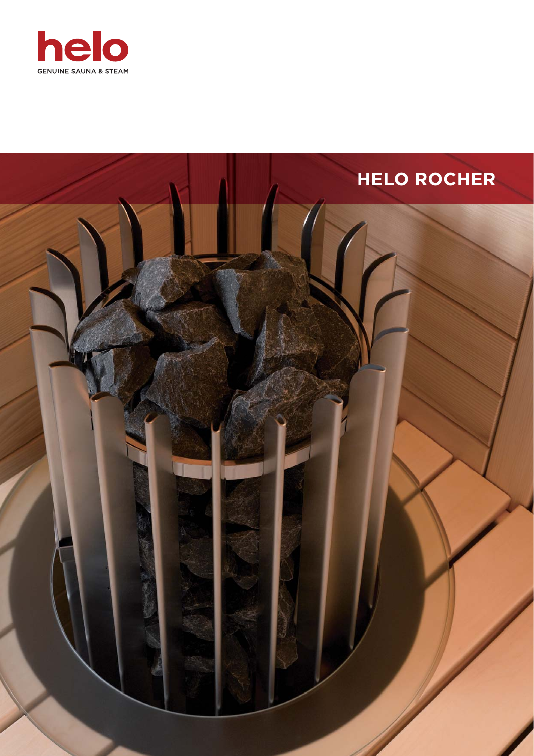